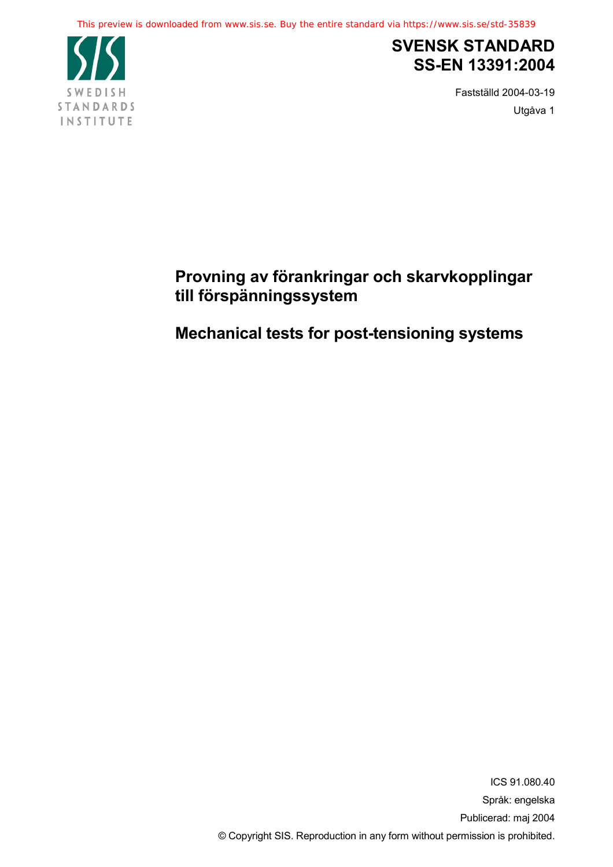

## **SVENSK STANDARD SS-EN 13391:2004**

Fastställd 2004-03-19 Utgåva 1

## **Provning av förankringar och skarvkopplingar till förspänningssystem**

## **Mechanical tests for post-tensioning systems**

ICS 91.080.40 Språk: engelska Publicerad: maj 2004 © Copyright SIS. Reproduction in any form without permission is prohibited.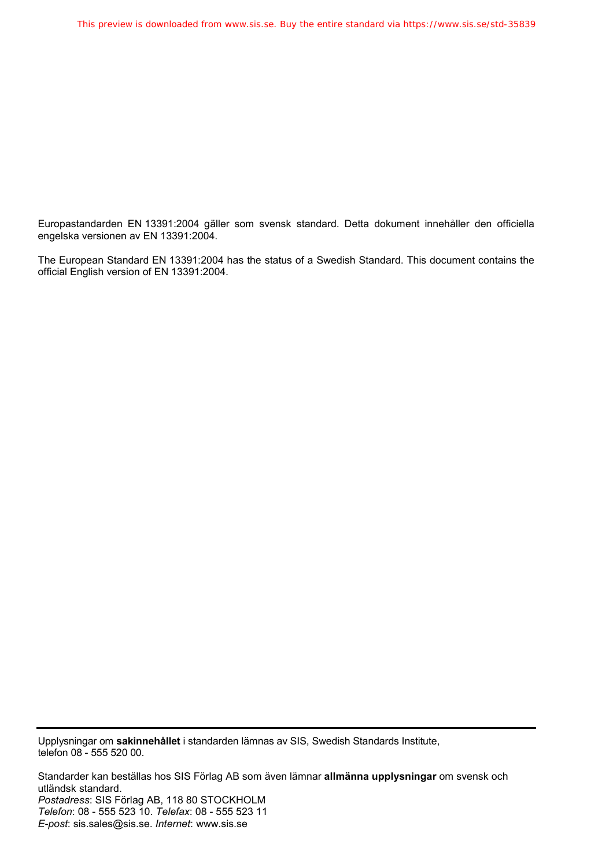Europastandarden EN 13391:2004 gäller som svensk standard. Detta dokument innehåller den officiella engelska versionen av EN 13391:2004.

The European Standard EN 13391:2004 has the status of a Swedish Standard. This document contains the official English version of EN 13391:2004.

Upplysningar om **sakinnehållet** i standarden lämnas av SIS, Swedish Standards Institute, telefon 08 - 555 520 00.

Standarder kan beställas hos SIS Förlag AB som även lämnar **allmänna upplysningar** om svensk och utländsk standard. *Postadress*: SIS Förlag AB, 118 80 STOCKHOLM *Telefon*: 08 - 555 523 10. *Telefax*: 08 - 555 523 11 *E-post*: sis.sales@sis.se. *Internet*: www.sis.se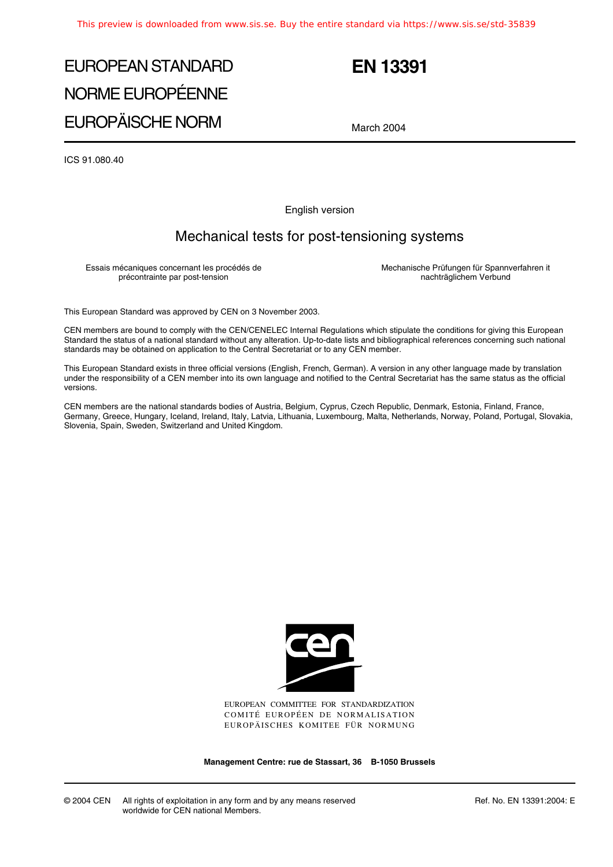# EUROPEAN STANDARD NORME EUROPÉENNE EUROPÄISCHE NORM

## **EN 13391**

March 2004

ICS 91.080.40

English version

## Mechanical tests for post-tensioning systems

Essais mécaniques concernant les procédés de précontrainte par post-tension

Mechanische Prüfungen für Spannverfahren it nachträglichem Verbund

This European Standard was approved by CEN on 3 November 2003.

CEN members are bound to comply with the CEN/CENELEC Internal Regulations which stipulate the conditions for giving this European Standard the status of a national standard without any alteration. Up-to-date lists and bibliographical references concerning such national standards may be obtained on application to the Central Secretariat or to any CEN member.

This European Standard exists in three official versions (English, French, German). A version in any other language made by translation under the responsibility of a CEN member into its own language and notified to the Central Secretariat has the same status as the official versions.

CEN members are the national standards bodies of Austria, Belgium, Cyprus, Czech Republic, Denmark, Estonia, Finland, France, Germany, Greece, Hungary, Iceland, Ireland, Italy, Latvia, Lithuania, Luxembourg, Malta, Netherlands, Norway, Poland, Portugal, Slovakia, Slovenia, Spain, Sweden, Switzerland and United Kingdom.



EUROPEAN COMMITTEE FOR STANDARDIZATION COMITÉ EUROPÉEN DE NORMALISATION EUROPÄISCHES KOMITEE FÜR NORMUNG

**Management Centre: rue de Stassart, 36 B-1050 Brussels**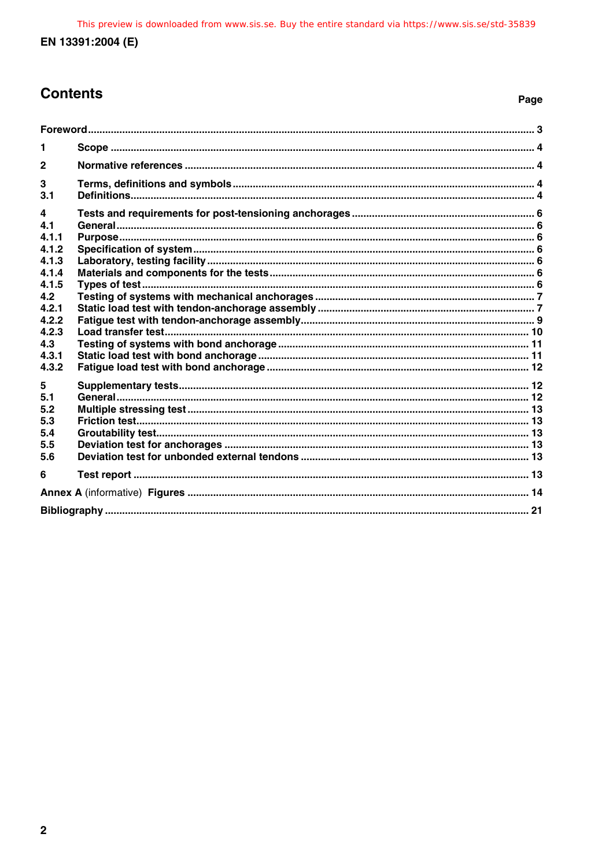## **Contents**

## Page

| 1                     |  |  |  |
|-----------------------|--|--|--|
| $\mathbf{2}$          |  |  |  |
| 3<br>3.1              |  |  |  |
| 4<br>4.1<br>4.1.1     |  |  |  |
| 4.1.2<br>4.1.3        |  |  |  |
| 4.1.4<br>4.1.5        |  |  |  |
| 4.2<br>4.2.1          |  |  |  |
| 4.2.2<br>4.2.3<br>4.3 |  |  |  |
| 4.3.1<br>4.3.2        |  |  |  |
| 5<br>51               |  |  |  |
| 5.2<br>5.3            |  |  |  |
| 5.4<br>5.5<br>5.6     |  |  |  |
| 6                     |  |  |  |
|                       |  |  |  |
|                       |  |  |  |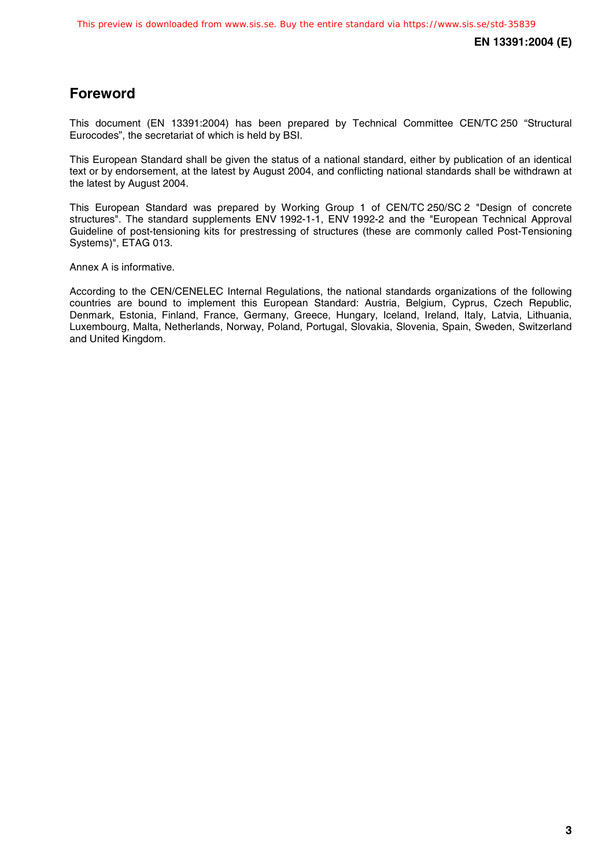## **Foreword**

This document (EN 13391:2004) has been prepared by Technical Committee CEN/TC 250 "Structural Eurocodes", the secretariat of which is held by BSI.

This European Standard shall be given the status of a national standard, either by publication of an identical text or by endorsement, at the latest by August 2004, and conflicting national standards shall be withdrawn at the latest by August 2004.

This European Standard was prepared by Working Group 1 of CEN/TC 250/SC 2 "Design of concrete structures". The standard supplements ENV 1992-1-1, ENV 1992-2 and the "European Technical Approval Guideline of post-tensioning kits for prestressing of structures (these are commonly called Post-Tensioning Systems)", ETAG 013.

Annex A is informative.

According to the CEN/CENELEC Internal Regulations, the national standards organizations of the following countries are bound to implement this European Standard: Austria, Belgium, Cyprus, Czech Republic, Denmark, Estonia, Finland, France, Germany, Greece, Hungary, Iceland, Ireland, Italy, Latvia, Lithuania, Luxembourg, Malta, Netherlands, Norway, Poland, Portugal, Slovakia, Slovenia, Spain, Sweden, Switzerland and United Kingdom.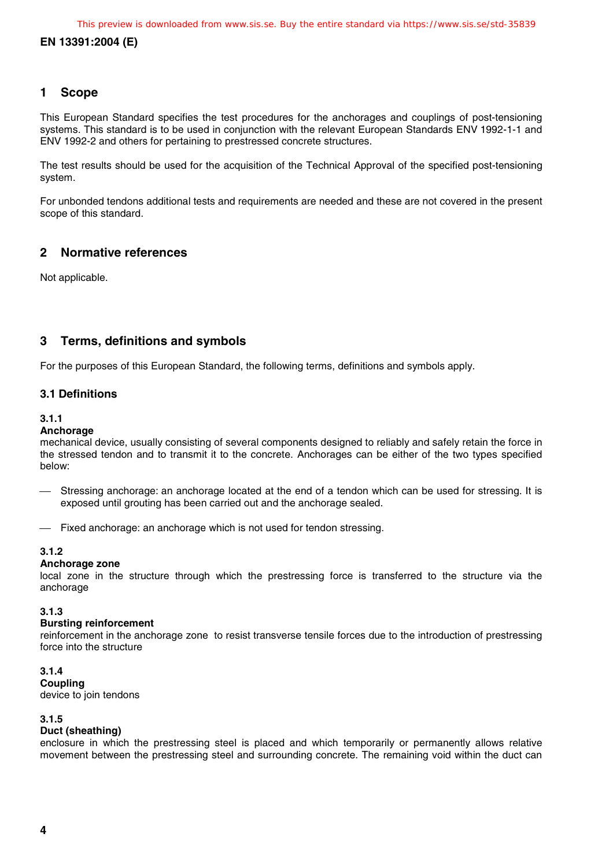## **1 Scope**

This European Standard specifies the test procedures for the anchorages and couplings of post-tensioning systems. This standard is to be used in conjunction with the relevant European Standards ENV 1992-1-1 and ENV 1992-2 and others for pertaining to prestressed concrete structures.

The test results should be used for the acquisition of the Technical Approval of the specified post-tensioning system.

For unbonded tendons additional tests and requirements are needed and these are not covered in the present scope of this standard.

## **2 Normative references**

Not applicable.

## **3 Terms, definitions and symbols**

For the purposes of this European Standard, the following terms, definitions and symbols apply.

## **3.1 Definitions**

## **3.1.1**

## **Anchorage**

mechanical device, usually consisting of several components designed to reliably and safely retain the force in the stressed tendon and to transmit it to the concrete. Anchorages can be either of the two types specified below:

- Stressing anchorage: an anchorage located at the end of a tendon which can be used for stressing. It is exposed until grouting has been carried out and the anchorage sealed.
- Fixed anchorage: an anchorage which is not used for tendon stressing.

## **3.1.2**

## **Anchorage zone**

local zone in the structure through which the prestressing force is transferred to the structure via the anchorage

## **3.1.3**

## **Bursting reinforcement**

reinforcement in the anchorage zone to resist transverse tensile forces due to the introduction of prestressing force into the structure

## **3.1.4**

**Coupling** device to join tendons

## **3.1.5**

## **Duct (sheathing)**

enclosure in which the prestressing steel is placed and which temporarily or permanently allows relative movement between the prestressing steel and surrounding concrete. The remaining void within the duct can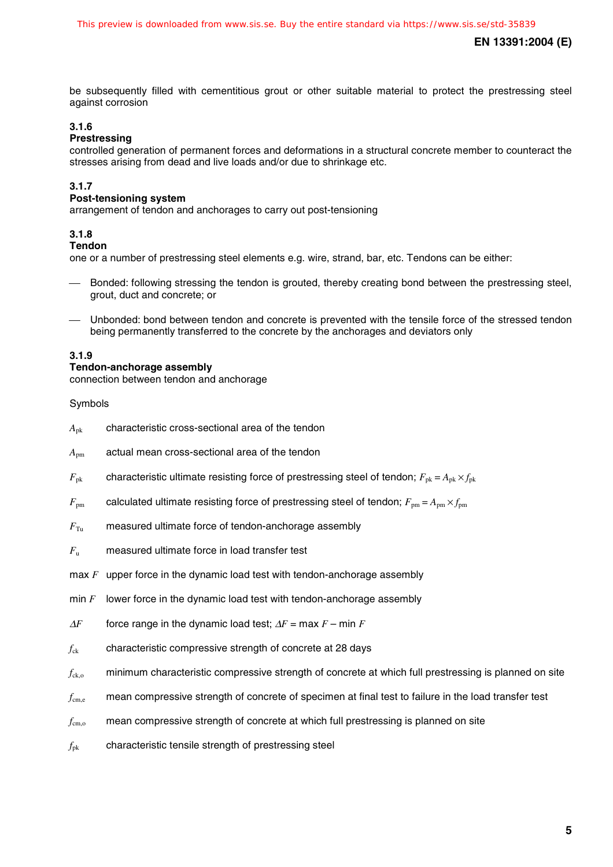be subsequently filled with cementitious grout or other suitable material to protect the prestressing steel against corrosion

## **3.1.6**

## **Prestressing**

controlled generation of permanent forces and deformations in a structural concrete member to counteract the stresses arising from dead and live loads and/or due to shrinkage etc.

## **3.1.7**

## **Post-tensioning system**

arrangement of tendon and anchorages to carry out post-tensioning

## **3.1.8**

## **Tendon**

one or a number of prestressing steel elements e.g. wire, strand, bar, etc. Tendons can be either:

- Bonded: following stressing the tendon is grouted, thereby creating bond between the prestressing steel, grout, duct and concrete; or
- Unbonded: bond between tendon and concrete is prevented with the tensile force of the stressed tendon being permanently transferred to the concrete by the anchorages and deviators only

## **3.1.9**

## **Tendon-anchorage assembly**

connection between tendon and anchorage

Symbols

- *A*pk characteristic cross-sectional area of the tendon
- $A_{nm}$  actual mean cross-sectional area of the tendon
- $F_{\text{pk}}$  characteristic ultimate resisting force of prestressing steel of tendon;  $F_{\text{pk}} = A_{\text{pk}} \times f_{\text{pk}}$
- $F_{\text{pm}}$  calculated ultimate resisting force of prestressing steel of tendon;  $F_{\text{pm}} = A_{\text{pm}} \times f_{\text{pm}}$
- $F_{\text{Tu}}$  measured ultimate force of tendon-anchorage assembly
- *F*<sup>u</sup> measured ultimate force in load transfer test
- max *F* upper force in the dynamic load test with tendon-anchorage assembly
- min *F* lower force in the dynamic load test with tendon-anchorage assembly
- $\Delta F$  force range in the dynamic load test;  $\Delta F = \max F \min F$
- *f<sub>ck</sub>* characteristic compressive strength of concrete at 28 days
- $f_{\text{ck}}$ , minimum characteristic compressive strength of concrete at which full prestressing is planned on site
- *f*cm,e mean compressive strength of concrete of specimen at final test to failure in the load transfer test
- $f_{\rm{cmo}}$  mean compressive strength of concrete at which full prestressing is planned on site
- *f*pk characteristic tensile strength of prestressing steel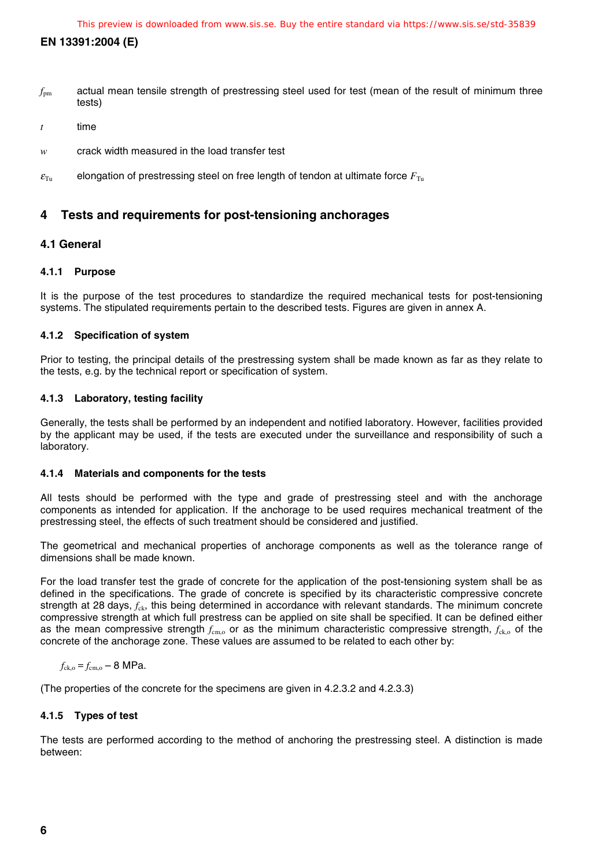- *f*pm actual mean tensile strength of prestressing steel used for test (mean of the result of minimum three tests)
- *t* time
- *w* crack width measured in the load transfer test
- $\varepsilon_{\text{Tu}}$  elongation of prestressing steel on free length of tendon at ultimate force  $F_{\text{Tu}}$

## **4 Tests and requirements for post-tensioning anchorages**

## **4.1 General**

## **4.1.1 Purpose**

It is the purpose of the test procedures to standardize the required mechanical tests for post-tensioning systems. The stipulated requirements pertain to the described tests. Figures are given in annex A.

## **4.1.2 Specification of system**

Prior to testing, the principal details of the prestressing system shall be made known as far as they relate to the tests, e.g. by the technical report or specification of system.

## **4.1.3 Laboratory, testing facility**

Generally, the tests shall be performed by an independent and notified laboratory. However, facilities provided by the applicant may be used, if the tests are executed under the surveillance and responsibility of such a laboratory.

## **4.1.4 Materials and components for the tests**

All tests should be performed with the type and grade of prestressing steel and with the anchorage components as intended for application. If the anchorage to be used requires mechanical treatment of the prestressing steel, the effects of such treatment should be considered and justified.

The geometrical and mechanical properties of anchorage components as well as the tolerance range of dimensions shall be made known.

For the load transfer test the grade of concrete for the application of the post-tensioning system shall be as defined in the specifications. The grade of concrete is specified by its characteristic compressive concrete strength at 28 days,  $f_{ck}$ , this being determined in accordance with relevant standards. The minimum concrete compressive strength at which full prestress can be applied on site shall be specified. It can be defined either as the mean compressive strength  $f_{cm}$  or as the minimum characteristic compressive strength,  $f_{ck}$  of the concrete of the anchorage zone. These values are assumed to be related to each other by:

$$
f_{\rm ck,o} = f_{\rm cm,o} - 8
$$
 MPa.

(The properties of the concrete for the specimens are given in 4.2.3.2 and 4.2.3.3)

## **4.1.5 Types of test**

The tests are performed according to the method of anchoring the prestressing steel. A distinction is made between: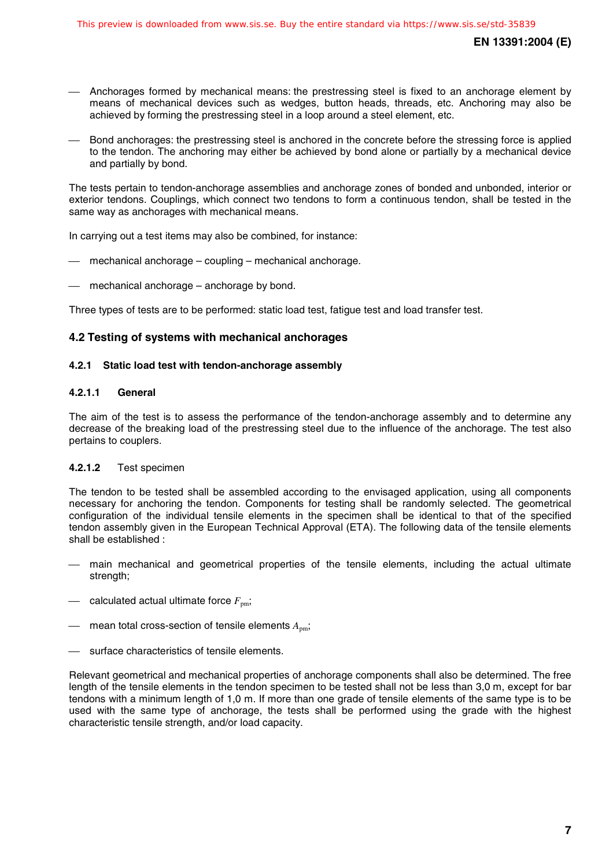- Anchorages formed by mechanical means: the prestressing steel is fixed to an anchorage element by means of mechanical devices such as wedges, button heads, threads, etc. Anchoring may also be achieved by forming the prestressing steel in a loop around a steel element, etc.
- Bond anchorages: the prestressing steel is anchored in the concrete before the stressing force is applied to the tendon. The anchoring may either be achieved by bond alone or partially by a mechanical device and partially by bond.

The tests pertain to tendon-anchorage assemblies and anchorage zones of bonded and unbonded, interior or exterior tendons. Couplings, which connect two tendons to form a continuous tendon, shall be tested in the same way as anchorages with mechanical means.

In carrying out a test items may also be combined, for instance:

- mechanical anchorage coupling mechanical anchorage.
- mechanical anchorage anchorage by bond.

Three types of tests are to be performed: static load test, fatigue test and load transfer test.

## **4.2 Testing of systems with mechanical anchorages**

## **4.2.1 Static load test with tendon-anchorage assembly**

## **4.2.1.1 General**

The aim of the test is to assess the performance of the tendon-anchorage assembly and to determine any decrease of the breaking load of the prestressing steel due to the influence of the anchorage. The test also pertains to couplers.

## **4.2.1.2** Test specimen

The tendon to be tested shall be assembled according to the envisaged application, using all components necessary for anchoring the tendon. Components for testing shall be randomly selected. The geometrical configuration of the individual tensile elements in the specimen shall be identical to that of the specified tendon assembly given in the European Technical Approval (ETA). The following data of the tensile elements shall be established :

- main mechanical and geometrical properties of the tensile elements, including the actual ultimate strength;
- $\equiv$  calculated actual ultimate force  $F_{\text{pm}}$ ;
- $-$  mean total cross-section of tensile elements  $A_{nm}$ ;
- surface characteristics of tensile elements.

Relevant geometrical and mechanical properties of anchorage components shall also be determined. The free length of the tensile elements in the tendon specimen to be tested shall not be less than 3,0 m, except for bar tendons with a minimum length of 1,0 m. If more than one grade of tensile elements of the same type is to be used with the same type of anchorage, the tests shall be performed using the grade with the highest characteristic tensile strength, and/or load capacity.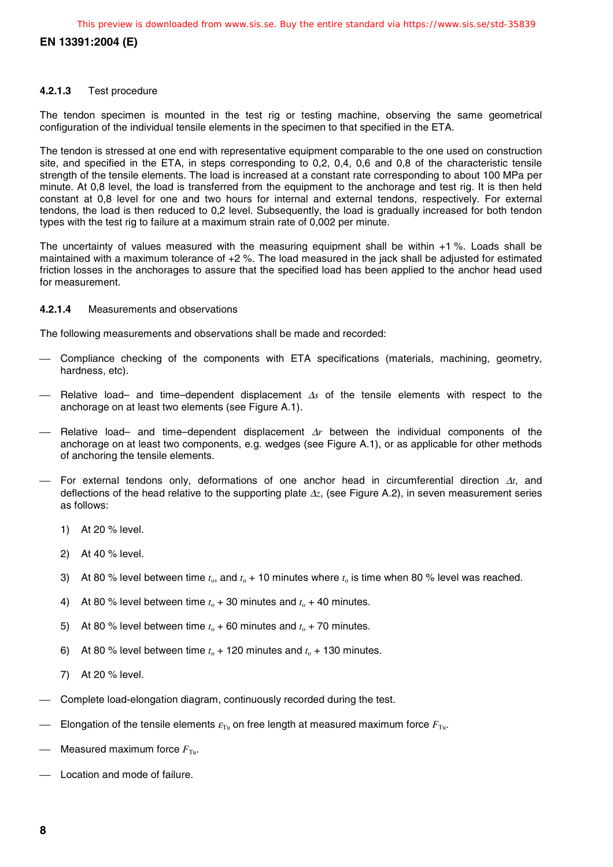## **4.2.1.3** Test procedure

The tendon specimen is mounted in the test rig or testing machine, observing the same geometrical configuration of the individual tensile elements in the specimen to that specified in the ETA.

The tendon is stressed at one end with representative equipment comparable to the one used on construction site, and specified in the ETA, in steps corresponding to 0,2, 0,4, 0,6 and 0,8 of the characteristic tensile strength of the tensile elements. The load is increased at a constant rate corresponding to about 100 MPa per minute. At 0,8 level, the load is transferred from the equipment to the anchorage and test rig. It is then held constant at 0,8 level for one and two hours for internal and external tendons, respectively. For external tendons, the load is then reduced to 0,2 level. Subsequently, the load is gradually increased for both tendon types with the test rig to failure at a maximum strain rate of 0,002 per minute.

The uncertainty of values measured with the measuring equipment shall be within +1 %. Loads shall be maintained with a maximum tolerance of +2 %. The load measured in the jack shall be adjusted for estimated friction losses in the anchorages to assure that the specified load has been applied to the anchor head used for measurement.

## **4.2.1.4** Measurements and observations

The following measurements and observations shall be made and recorded:

- Compliance checking of the components with ETA specifications (materials, machining, geometry, hardness, etc).
- Relative load– and time–dependent displacement ∆*s* of the tensile elements with respect to the anchorage on at least two elements (see Figure A.1).
- Relative load– and time–dependent displacement ∆*r* between the individual components of the anchorage on at least two components, e.g. wedges (see Figure A.1), or as applicable for other methods of anchoring the tensile elements.
- For external tendons only, deformations of one anchor head in circumferential direction ∆*t*, and deflections of the head relative to the supporting plate ∆*z*, (see Figure A.2), in seven measurement series as follows:
	- 1) At 20 % level.
	- 2) At 40 % level.
	- 3) At 80 % level between time  $t_0$ , and  $t_0 + 10$  minutes where  $t_0$  is time when 80 % level was reached.
	- 4) At 80 % level between time  $t_0 + 30$  minutes and  $t_0 + 40$  minutes.
	- 5) At 80 % level between time  $t_0 + 60$  minutes and  $t_0 + 70$  minutes.
	- 6) At 80 % level between time  $t_0 + 120$  minutes and  $t_0 + 130$  minutes.
	- 7) At 20 % level.
- Complete load-elongation diagram, continuously recorded during the test.
- Elongation of the tensile elements  $\varepsilon_{\text{Tu}}$  on free length at measured maximum force  $F_{\text{Tu}}$ .
- Measured maximum force  $F_{\text{Tu}}$ .
- Location and mode of failure.